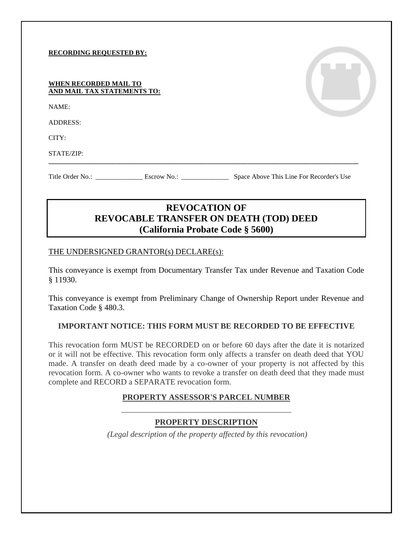#### **RECORDING REQUESTED BY:**

#### **WHEN RECORDED MAIL TO AND MAIL TAX STATEMENTS TO:**

NAME:

ADDRESS:

CITY:

STATE/ZIP:

Title Order No.: \_\_\_\_\_\_\_\_\_\_\_\_\_\_ Escrow No.: \_\_\_\_\_\_\_\_\_\_\_\_\_\_ Space Above This Line For Recorder's Use

# **REVOCATION OF REVOCABLE TRANSFER ON DEATH (TOD) DEED (California Probate Code § 5600)**

**\_\_\_\_\_\_\_\_\_\_\_\_\_\_\_\_\_\_\_\_\_\_\_\_\_\_\_\_\_\_\_\_\_\_\_\_\_\_\_\_\_\_\_\_\_\_\_\_\_\_\_\_\_\_\_\_\_\_\_\_\_\_\_\_\_\_\_\_\_\_\_\_\_\_\_\_\_\_\_\_\_\_\_\_\_\_\_\_\_\_\_\_**

#### THE UNDERSIGNED GRANTOR(s) DECLARE(s):

This conveyance is exempt from Documentary Transfer Tax under Revenue and Taxation Code § 11930.

This conveyance is exempt from Preliminary Change of Ownership Report under Revenue and Taxation Code § 480.3.

### **IMPORTANT NOTICE: THIS FORM MUST BE RECORDED TO BE EFFECTIVE**

This revocation form MUST be RECORDED on or before 60 days after the date it is notarized or it will not be effective. This revocation form only affects a transfer on death deed that YOU made. A transfer on death deed made by a co-owner of your property is not affected by this revocation form. A co-owner who wants to revoke a transfer on death deed that they made must complete and RECORD a SEPARATE revocation form.

# **PROPERTY ASSESSOR'S PARCEL NUMBER** \_\_\_\_\_\_\_\_\_\_\_\_\_\_\_\_\_\_\_\_\_\_\_\_\_\_\_\_\_\_\_\_\_\_\_\_\_\_\_\_\_\_

### **PROPERTY DESCRIPTION**

*(Legal description of the property affected by this revocation)*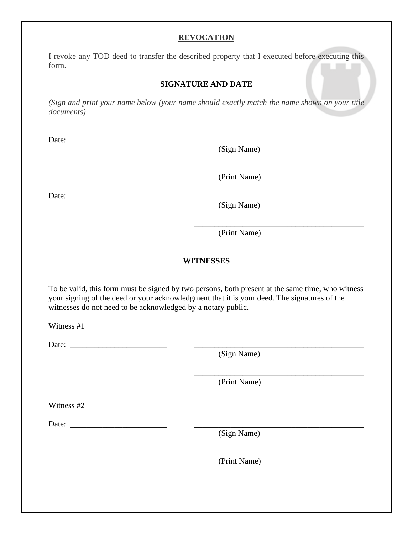# **REVOCATION**

I revoke any TOD deed to transfer the described property that I executed before executing this form.

### **SIGNATURE AND DATE**

*(Sign and print your name below (your name should exactly match the name shown on your title documents)*

Date:

(Sign Name)

(Print Name)

\_\_\_\_\_\_\_\_\_\_\_\_\_\_\_\_\_\_\_\_\_\_\_\_\_\_\_\_\_\_\_\_\_\_\_\_\_\_\_\_\_\_

\_\_\_\_\_\_\_\_\_\_\_\_\_\_\_\_\_\_\_\_\_\_\_\_\_\_\_\_\_\_\_\_\_\_\_\_\_\_\_\_\_\_

\_\_\_\_\_\_\_\_\_\_\_\_\_\_\_\_\_\_\_\_\_\_\_\_\_\_\_\_\_\_\_\_\_\_\_\_\_\_\_\_\_\_

Date: \_\_\_\_\_\_\_\_\_\_\_\_\_\_\_\_\_\_\_\_\_\_\_\_ \_\_\_\_\_\_\_\_\_\_\_\_\_\_\_\_\_\_\_\_\_\_\_\_\_\_\_\_\_\_\_\_\_\_\_\_\_\_\_\_\_\_

(Sign Name)

(Print Name)

## **WITNESSES**

To be valid, this form must be signed by two persons, both present at the same time, who witness your signing of the deed or your acknowledgment that it is your deed. The signatures of the witnesses do not need to be acknowledged by a notary public.

Witness #1

Date:

(Sign Name)

(Print Name)

Witness #2

Date: \_\_\_\_\_\_\_\_\_\_\_\_\_\_\_\_\_\_\_\_\_\_\_\_ \_\_\_\_\_\_\_\_\_\_\_\_\_\_\_\_\_\_\_\_\_\_\_\_\_\_\_\_\_\_\_\_\_\_\_\_\_\_\_\_\_\_

(Sign Name)

(Print Name)

\_\_\_\_\_\_\_\_\_\_\_\_\_\_\_\_\_\_\_\_\_\_\_\_\_\_\_\_\_\_\_\_\_\_\_\_\_\_\_\_\_\_